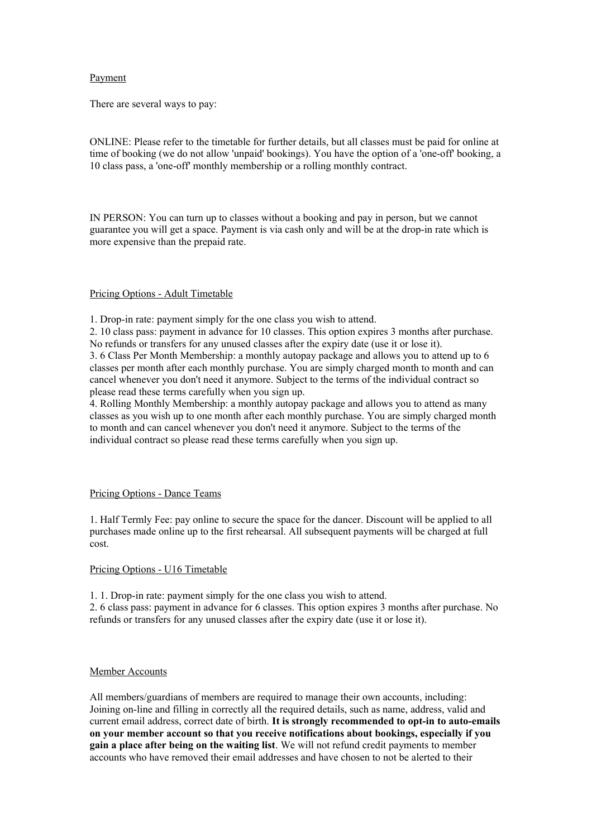## Payment

There are several ways to pay:

ONLINE: Please refer to the timetable for further details, but all classes must be paid for online at time of booking (we do not allow 'unpaid' bookings). You have the option of a 'one-off' booking, a 10 class pass, a 'one-off' monthly membership or a rolling monthly contract.

IN PERSON: You can turn up to classes without a booking and pay in person, but we cannot guarantee you will get a space. Payment is via cash only and will be at the drop-in rate which is more expensive than the prepaid rate.

## Pricing Options - Adult Timetable

1. Drop-in rate: payment simply for the one class you wish to attend.

2. 10 class pass: payment in advance for 10 classes. This option expires 3 months after purchase. No refunds or transfers for any unused classes after the expiry date (use it or lose it). 3. 6 Class Per Month Membership: a monthly autopay package and allows you to attend up to 6 classes per month after each monthly purchase. You are simply charged month to month and can cancel whenever you don't need it anymore. Subject to the terms of the individual contract so please read these terms carefully when you sign up.

4. Rolling Monthly Membership: a monthly autopay package and allows you to attend as many classes as you wish up to one month after each monthly purchase. You are simply charged month to month and can cancel whenever you don't need it anymore. Subject to the terms of the individual contract so please read these terms carefully when you sign up.

#### Pricing Options - Dance Teams

1. Half Termly Fee: pay online to secure the space for the dancer. Discount will be applied to all purchases made online up to the first rehearsal. All subsequent payments will be charged at full cost.

#### Pricing Options - U16 Timetable

1. 1. Drop-in rate: payment simply for the one class you wish to attend.

2. 6 class pass: payment in advance for 6 classes. This option expires 3 months after purchase. No refunds or transfers for any unused classes after the expiry date (use it or lose it).

#### Member Accounts

All members/guardians of members are required to manage their own accounts, including: Joining on-line and filling in correctly all the required details, such as name, address, valid and current email address, correct date of birth. **It is strongly recommended to opt-in to auto-emails on your member account so that you receive notifications about bookings, especially if you gain a place after being on the waiting list**. We will not refund credit payments to member accounts who have removed their email addresses and have chosen to not be alerted to their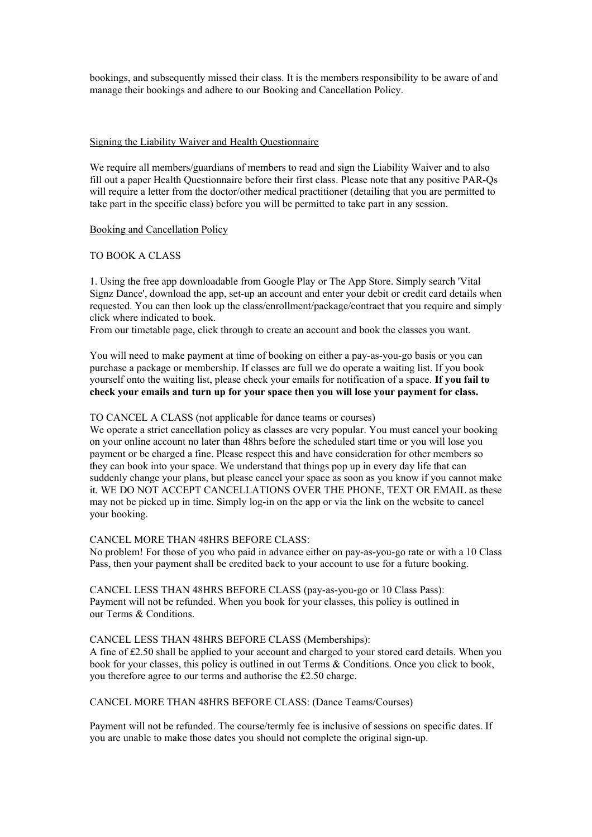bookings, and subsequently missed their class. It is the members responsibility to be aware of and manage their bookings and adhere to our Booking and Cancellation Policy.

#### Signing the Liability Waiver and Health Questionnaire

We require all members/guardians of members to read and sign the Liability Waiver and to also fill out a paper Health Questionnaire before their first class. Please note that any positive PAR-Qs will require a letter from the doctor/other medical practitioner (detailing that you are permitted to take part in the specific class) before you will be permitted to take part in any session.

## Booking and Cancellation Policy

## TO BOOK A CLASS

1. Using the free app downloadable from Google Play or The App Store. Simply search 'Vital Signz Dance', download the app, set-up an account and enter your debit or credit card details when requested. You can then look up the class/enrollment/package/contract that you require and simply click where indicated to book.

From our timetable page, click through to create an account and book the classes you want.

You will need to make payment at time of booking on either a pay-as-you-go basis or you can purchase a package or membership. If classes are full we do operate a waiting list. If you book yourself onto the waiting list, please check your emails for notification of a space. **If you fail to check your emails and turn up for your space then you will lose your payment for class.**

## TO CANCEL A CLASS (not applicable for dance teams or courses)

We operate a strict cancellation policy as classes are very popular. You must cancel your booking on your online account no later than 48hrs before the scheduled start time or you will lose you payment or be charged a fine. Please respect this and have consideration for other members so they can book into your space. We understand that things pop up in every day life that can suddenly change your plans, but please cancel your space as soon as you know if you cannot make it. WE DO NOT ACCEPT CANCELLATIONS OVER THE PHONE, TEXT OR EMAIL as these may not be picked up in time. Simply log-in on the app or via the link on the website to cancel your booking.

## CANCEL MORE THAN 48HRS BEFORE CLASS:

No problem! For those of you who paid in advance either on pay-as-you-go rate or with a 10 Class Pass, then your payment shall be credited back to your account to use for a future booking.

CANCEL LESS THAN 48HRS BEFORE CLASS (pay-as-you-go or 10 Class Pass): Payment will not be refunded. When you book for your classes, this policy is outlined in our Terms & Conditions.

#### CANCEL LESS THAN 48HRS BEFORE CLASS (Memberships):

A fine of £2.50 shall be applied to your account and charged to your stored card details. When you book for your classes, this policy is outlined in out Terms & Conditions. Once you click to book, you therefore agree to our terms and authorise the £2.50 charge.

# CANCEL MORE THAN 48HRS BEFORE CLASS: (Dance Teams/Courses)

Payment will not be refunded. The course/termly fee is inclusive of sessions on specific dates. If you are unable to make those dates you should not complete the original sign-up.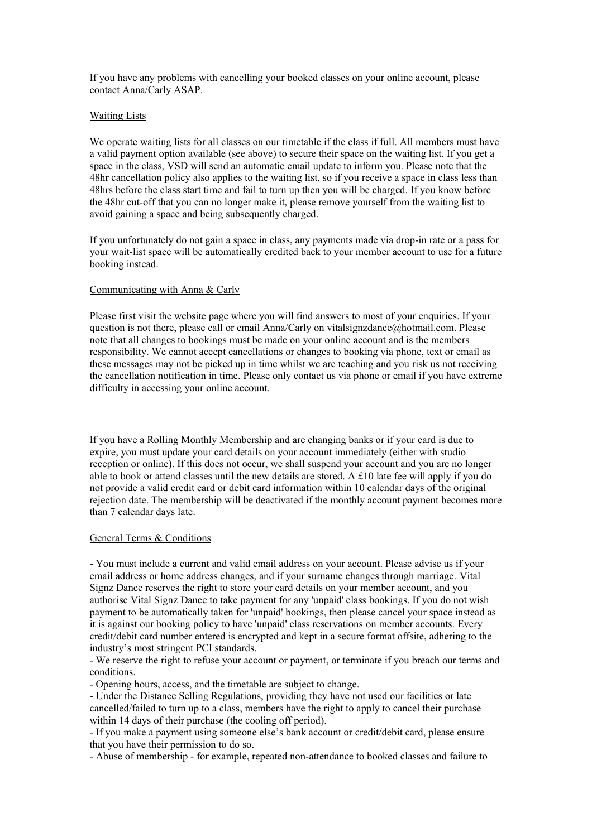If you have any problems with cancelling your booked classes on your online account, please contact Anna/Carly ASAP.

## Waiting Lists

We operate waiting lists for all classes on our timetable if the class if full. All members must have a valid payment option available (see above) to secure their space on the waiting list. If you get a space in the class, VSD will send an automatic email update to inform you. Please note that the 48hr cancellation policy also applies to the waiting list, so if you receive a space in class less than 48hrs before the class start time and fail to turn up then you will be charged. If you know before the 48hr cut-off that you can no longer make it, please remove yourself from the waiting list to avoid gaining a space and being subsequently charged.

If you unfortunately do not gain a space in class, any payments made via drop-in rate or a pass for your wait-list space will be automatically credited back to your member account to use for a future booking instead.

#### Communicating with Anna & Carly

Please first visit the website page where you will find answers to most of your enquiries. If your question is not there, please call or email Anna/Carly on vitalsignzdance@hotmail.com. Please note that all changes to bookings must be made on your online account and is the members responsibility. We cannot accept cancellations or changes to booking via phone, text or email as these messages may not be picked up in time whilst we are teaching and you risk us not receiving the cancellation notification in time. Please only contact us via phone or email if you have extreme difficulty in accessing your online account.

If you have a Rolling Monthly Membership and are changing banks or if your card is due to expire, you must update your card details on your account immediately (either with studio reception or online). If this does not occur, we shall suspend your account and you are no longer able to book or attend classes until the new details are stored. A £10 late fee will apply if you do not provide a valid credit card or debit card information within 10 calendar days of the original rejection date. The membership will be deactivated if the monthly account payment becomes more than 7 calendar days late.

## General Terms & Conditions

- You must include a current and valid email address on your account. Please advise us if your email address or home address changes, and if your surname changes through marriage. Vital Signz Dance reserves the right to store your card details on your member account, and you authorise Vital Signz Dance to take payment for any 'unpaid' class bookings. If you do not wish payment to be automatically taken for 'unpaid' bookings, then please cancel your space instead as it is against our booking policy to have 'unpaid' class reservations on member accounts. Every credit/debit card number entered is encrypted and kept in a secure format offsite, adhering to the industry's most stringent PCI standards.

- We reserve the right to refuse your account or payment, or terminate if you breach our terms and conditions.

- Opening hours, access, and the timetable are subject to change.

- Under the Distance Selling Regulations, providing they have not used our facilities or late cancelled/failed to turn up to a class, members have the right to apply to cancel their purchase within 14 days of their purchase (the cooling off period).

- If you make a payment using someone else's bank account or credit/debit card, please ensure that you have their permission to do so.

- Abuse of membership - for example, repeated non-attendance to booked classes and failure to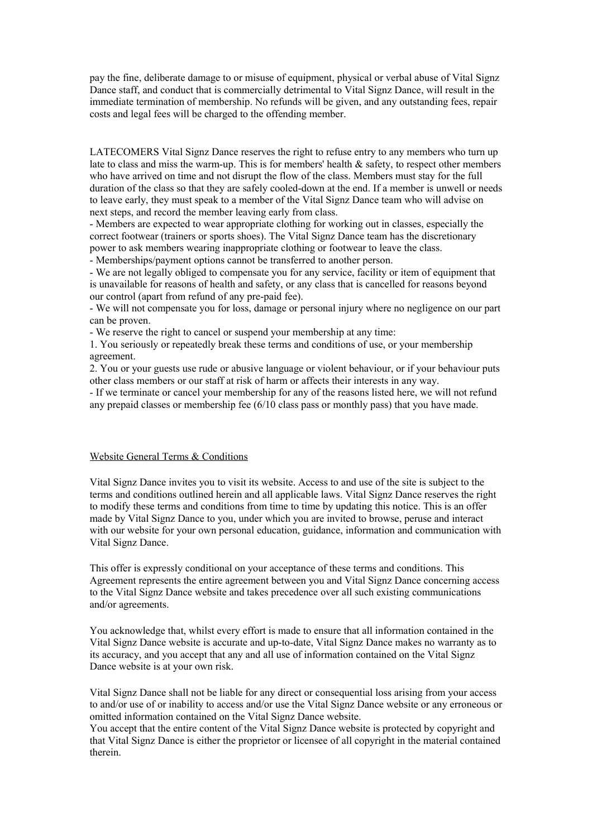pay the fine, deliberate damage to or misuse of equipment, physical or verbal abuse of Vital Signz Dance staff, and conduct that is commercially detrimental to Vital Signz Dance, will result in the immediate termination of membership. No refunds will be given, and any outstanding fees, repair costs and legal fees will be charged to the offending member.

LATECOMERS Vital Signz Dance reserves the right to refuse entry to any members who turn up late to class and miss the warm-up. This is for members' health  $\&$  safety, to respect other members who have arrived on time and not disrupt the flow of the class. Members must stay for the full duration of the class so that they are safely cooled-down at the end. If a member is unwell or needs to leave early, they must speak to a member of the Vital Signz Dance team who will advise on next steps, and record the member leaving early from class.

- Members are expected to wear appropriate clothing for working out in classes, especially the correct footwear (trainers or sports shoes). The Vital Signz Dance team has the discretionary power to ask members wearing inappropriate clothing or footwear to leave the class.

- Memberships/payment options cannot be transferred to another person.

- We are not legally obliged to compensate you for any service, facility or item of equipment that is unavailable for reasons of health and safety, or any class that is cancelled for reasons beyond our control (apart from refund of any pre-paid fee).

- We will not compensate you for loss, damage or personal injury where no negligence on our part can be proven.

- We reserve the right to cancel or suspend your membership at any time:

1. You seriously or repeatedly break these terms and conditions of use, or your membership agreement.

2. You or your guests use rude or abusive language or violent behaviour, or if your behaviour puts other class members or our staff at risk of harm or affects their interests in any way.

- If we terminate or cancel your membership for any of the reasons listed here, we will not refund any prepaid classes or membership fee (6/10 class pass or monthly pass) that you have made.

## Website General Terms & Conditions

Vital Signz Dance invites you to visit its website. Access to and use of the site is subject to the terms and conditions outlined herein and all applicable laws. Vital Signz Dance reserves the right to modify these terms and conditions from time to time by updating this notice. This is an offer made by Vital Signz Dance to you, under which you are invited to browse, peruse and interact with our website for your own personal education, guidance, information and communication with Vital Signz Dance.

This offer is expressly conditional on your acceptance of these terms and conditions. This Agreement represents the entire agreement between you and Vital Signz Dance concerning access to the Vital Signz Dance website and takes precedence over all such existing communications and/or agreements.

You acknowledge that, whilst every effort is made to ensure that all information contained in the Vital Signz Dance website is accurate and up-to-date, Vital Signz Dance makes no warranty as to its accuracy, and you accept that any and all use of information contained on the Vital Signz Dance website is at your own risk.

Vital Signz Dance shall not be liable for any direct or consequential loss arising from your access to and/or use of or inability to access and/or use the Vital Signz Dance website or any erroneous or omitted information contained on the Vital Signz Dance website.

You accept that the entire content of the Vital Signz Dance website is protected by copyright and that Vital Signz Dance is either the proprietor or licensee of all copyright in the material contained therein.